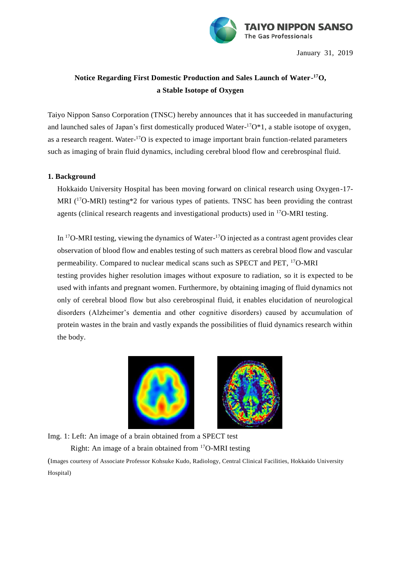

January 31, 2019

# **Notice Regarding First Domestic Production and Sales Launch of Water-<sup>17</sup>O, a Stable Isotope of Oxygen**

Taiyo Nippon Sanso Corporation (TNSC) hereby announces that it has succeeded in manufacturing and launched sales of Japan's first domestically produced Water-<sup>17</sup>O\*1, a stable isotope of oxygen, as a research reagent. Water-<sup>17</sup>O is expected to image important brain function-related parameters such as imaging of brain fluid dynamics, including cerebral blood flow and cerebrospinal fluid.

## **1. Background**

Hokkaido University Hospital has been moving forward on clinical research using Oxygen-17- MRI ( $17$ O-MRI) testing\*2 for various types of patients. TNSC has been providing the contrast agents (clinical research reagents and investigational products) used in  $^{17}O-MRI$  testing.

In  $^{17}$ O-MRI testing, viewing the dynamics of Water- $^{17}$ O injected as a contrast agent provides clear observation of blood flow and enables testing of such matters as cerebral blood flow and vascular permeability. Compared to nuclear medical scans such as SPECT and PET, <sup>17</sup>O-MRI testing provides higher resolution images without exposure to radiation, so it is expected to be used with infants and pregnant women. Furthermore, by obtaining imaging of fluid dynamics not only of cerebral blood flow but also cerebrospinal fluid, it enables elucidation of neurological disorders (Alzheimer's dementia and other cognitive disorders) caused by accumulation of protein wastes in the brain and vastly expands the possibilities of fluid dynamics research within the body.



Img. 1: Left: An image of a brain obtained from a SPECT test Right: An image of a brain obtained from  $17O-MRI$  testing (Images courtesy of Associate Professor Kohsuke Kudo, Radiology, Central Clinical Facilities, Hokkaido University Hospital)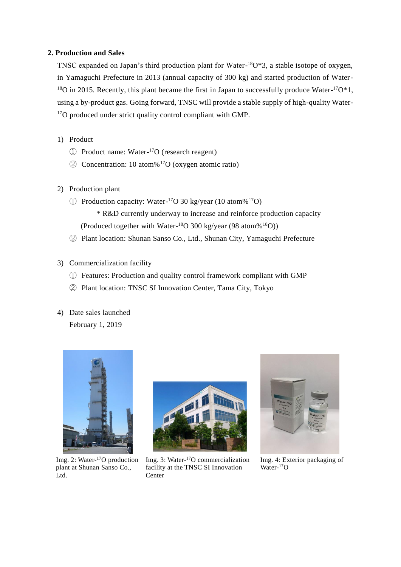### **2. Production and Sales**

TNSC expanded on Japan's third production plant for Water-<sup>18</sup>O\*3, a stable isotope of oxygen, in Yamaguchi Prefecture in 2013 (annual capacity of 300 kg) and started production of Water- $^{18}$ O in 2015. Recently, this plant became the first in Japan to successfully produce Water- $^{17}O*1$ , using a by-product gas. Going forward, TNSC will provide a stable supply of high-quality Water-<sup>17</sup>O produced under strict quality control compliant with GMP.

- 1) Product
	- ① Product name: Water-<sup>17</sup>O (research reagent)
	- ② Concentration: 10 atom%<sup>17</sup>O (oxygen atomic ratio)
- 2) Production plant
	- ① Production capacity: Water-<sup>17</sup>O 30 kg/year (10 atom%<sup>17</sup>O)
		- \* R&D currently underway to increase and reinforce production capacity (Produced together with Water- $^{18}O$  300 kg/year (98 atom% $^{18}O$ ))
	- ② Plant location: Shunan Sanso Co., Ltd., Shunan City, Yamaguchi Prefecture
- 3) Commercialization facility
	- ① Features: Production and quality control framework compliant with GMP
	- ② Plant location: TNSC SI Innovation Center, Tama City, Tokyo
- 4) Date sales launched February 1, 2019



Img. 2: Water-<sup>17</sup>O production plant at Shunan Sanso Co., Ltd.



Img. 3: Water-<sup>17</sup>O commercialization facility at the TNSC SI Innovation Center



Img. 4: Exterior packaging of Water-17O